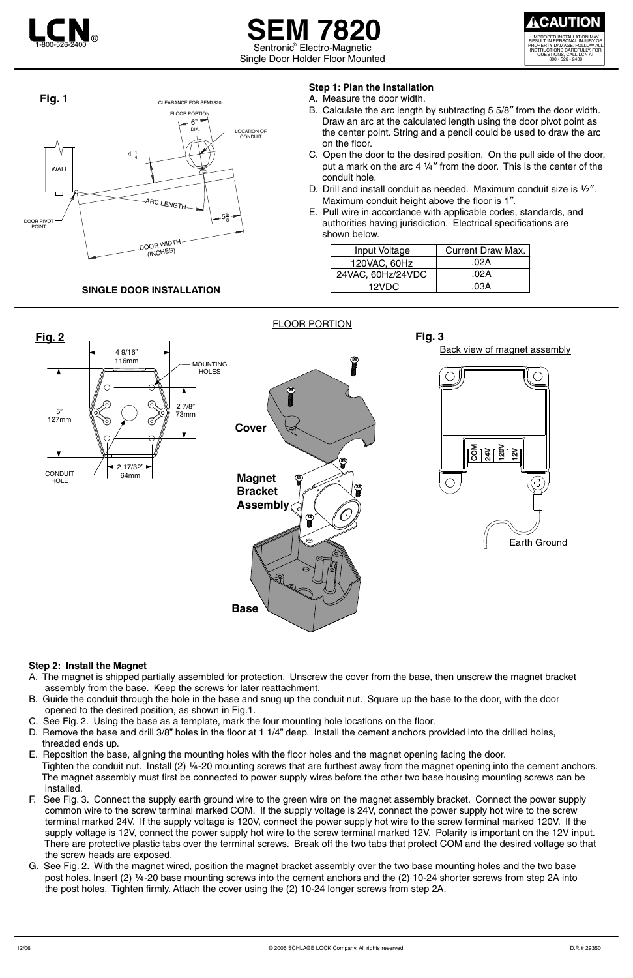# **SEM 7820** Sentronic<sup>®</sup> Electro-Magnetic Single Door Holder Floor Mounted

## **SINGLE DOOR INSTALLATION**



### **Step 1: Plan the Installation**

- A. Measure the door width.
- B. Calculate the arc length by subtracting 5 5/8" from the door width. Draw an arc at the calculated length using the door pivot point as the center point. String and a pencil could be used to draw the arc on the floor.
- C. Open the door to the desired position. On the pull side of the door, put a mark on the arc 4 ¼" from the door. This is the center of the conduit hole.
- D. Drill and install conduit as needed. Maximum conduit size is ½". Maximum conduit height above the floor is 1".
- E. Pull wire in accordance with applicable codes, standards, and authorities having jurisdiction. Electrical specifications are shown below.

### **Step 2: Install the Magnet**





- A. The magnet is shipped partially assembled for protection. Unscrew the cover from the base, then unscrew the magnet bracket assembly from the base. Keep the screws for later reattachment.
- B. Guide the conduit through the hole in the base and snug up the conduit nut. Square up the base to the door, with the door opened to the desired position, as shown in Fig.1.
	-
- C. See Fig. 2. Using the base as a template, mark the four mounting hole locations on the floor.
- D. Remove the base and drill 3/8" holes in the floor at 1 1/4" deep. Install the cement anchors provided into the drilled holes, threaded ends up.
- E. Reposition the base, aligning the mounting holes with the floor holes and the magnet opening facing the door. Tighten the conduit nut. Install (2) ¼-20 mounting screws that are furthest away from the magnet opening into the cement anchors. The magnet assembly must first be connected to power supply wires before the other two base housing mounting screws can be installed.
- F. See Fig. 3. Connect the supply earth ground wire to the green wire on the magnet assembly bracket. Connect the power supply common wire to the screw terminal marked COM. If the supply voltage is 24V, connect the power supply hot wire to the screw terminal marked 24V. If the supply voltage is 120V, connect the power supply hot wire to the screw terminal marked 120V. If the supply voltage is 12V, connect the power supply hot wire to the screw terminal marked 12V. Polarity is important on the 12V input. There are protective plastic tabs over the terminal screws. Break off the two tabs that protect COM and the desired voltage so that the screw heads are exposed.
- G. See Fig. 2. With the magnet wired, position the magnet bracket assembly over the two base mounting holes and the two base post holes. Insert (2) ¼-20 base mounting screws into the cement anchors and the (2) 10-24 shorter screws from step 2A into the post holes. Tighten firmly. Attach the cover using the (2) 10-24 longer screws from step 2A.



| Input Voltage     | <b>Current Draw Max.</b> |
|-------------------|--------------------------|
| 120VAC, 60Hz      | .02A                     |
| 24VAC, 60Hz/24VDC | .02A                     |
| 12VDC             | 03A                      |